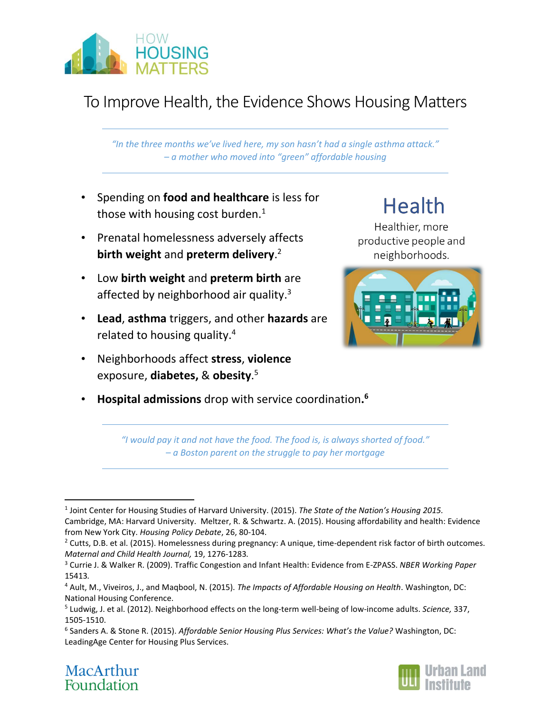

## To Improve Health, the Evidence Shows Housing Matters

*"In the three months we've lived here, my son hasn't had a single asthma attack." – a mother who moved into "green" affordable housing*

- Spending on **food and healthcare** is less for those with housing cost burden.<sup>1</sup>
- Prenatal homelessness adversely affects **birth weight** and **preterm delivery**. 2
- Low **birth weight** and **preterm birth** are affected by neighborhood air quality.<sup>3</sup>
- **Lead**, **asthma** triggers, and other **hazards** are related to housing quality.4
- Neighborhoods affect **stress**, **violence** exposure, **diabetes,** & **obesity**. 5

## • **Hospital admissions** drop with service coordination**. 6**

# **Health**

Healthier, more productive people and neighborhoods.



*"I would pay it and not have the food. The food is, is always shorted of food." – a Boston parent on the struggle to pay her mortgage*

<sup>6</sup> Sanders A. & Stone R. (2015). *Affordable Senior Housing Plus Services: What's the Value?* Washington, DC: LeadingAge Center for Housing Plus Services.





 <sup>1</sup> Joint Center for Housing Studies of Harvard University. (2015). *The State of the Nation's Housing 2015.* Cambridge, MA: Harvard University. Meltzer, R. & Schwartz. A. (2015). Housing affordability and health: Evidence from New York City. *Housing Policy Debate*, 26, 80-104.

<sup>&</sup>lt;sup>2</sup> Cutts, D.B. et al. (2015). Homelessness during pregnancy: A unique, time-dependent risk factor of birth outcomes. *Maternal and Child Health Journal,* 19, 1276-1283*.*

<sup>3</sup> Currie J. & Walker R. (2009). Traffic Congestion and Infant Health: Evidence from E-ZPASS. *NBER Working Paper*  15413*.*

<sup>4</sup> Ault, M., Viveiros, J., and Maqbool, N. (2015). *The Impacts of Affordable Housing on Health*. Washington, DC: National Housing Conference.

<sup>5</sup> Ludwig, J. et al. (2012). Neighborhood effects on the long-term well-being of low-income adults. *Science,* 337, 1505-1510.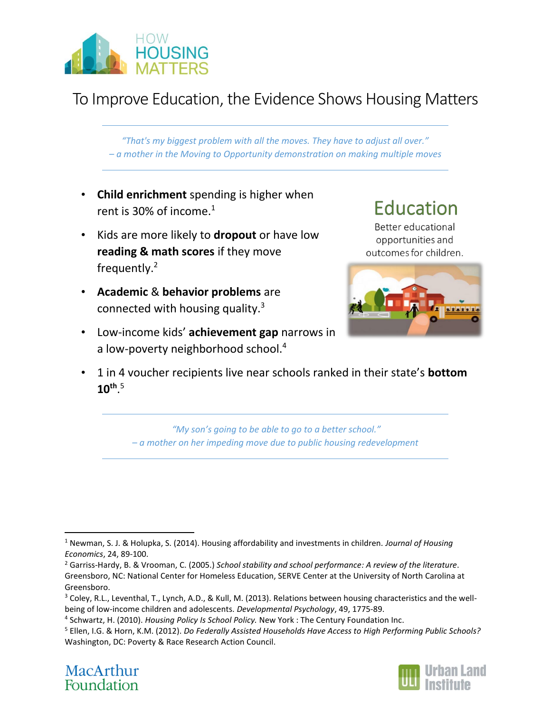

### To Improve Education, the Evidence Shows Housing Matters

*"That's my biggest problem with all the moves. They have to adjust all over." – a mother in the Moving to Opportunity demonstration on making multiple moves*

- **Child enrichment** spending is higher when rent is 30% of income. $1$
- Kids are more likely to **dropout** or have low **reading & math scores** if they move frequently.2
- **Academic** & **behavior problems** are connected with housing quality.3
- Low-income kids' **achievement gap** narrows in a low-poverty neighborhood school.<sup>4</sup>



Better educational opportunities and outcomes for children.



• 1 in 4 voucher recipients live near schools ranked in their state's **bottom 10th**. 5

> *"My son's going to be able to go to a better school." – a mother on her impeding move due to public housing redevelopment*

<sup>5</sup> Ellen, I.G. & Horn, K.M. (2012). *Do Federally Assisted Households Have Access to High Performing Public Schools?* Washington, DC: Poverty & Race Research Action Council.





 <sup>1</sup> Newman, S. J. & Holupka, S. (2014). Housing affordability and investments in children. *Journal of Housing Economics*, 24, 89-100.

<sup>2</sup> Garriss-Hardy, B. & Vrooman, C. (2005.) *School stability and school performance: A review of the literature*. Greensboro, NC: National Center for Homeless Education, SERVE Center at the University of North Carolina at Greensboro.

<sup>&</sup>lt;sup>3</sup> Coley, R.L., Leventhal, T., Lynch, A.D., & Kull, M. (2013). Relations between housing characteristics and the wellbeing of low-income children and adolescents. *Developmental Psychology*, 49, 1775-89.

<sup>4</sup> Schwartz, H. (2010). *Housing Policy Is School Policy.* New York : The Century Foundation Inc.